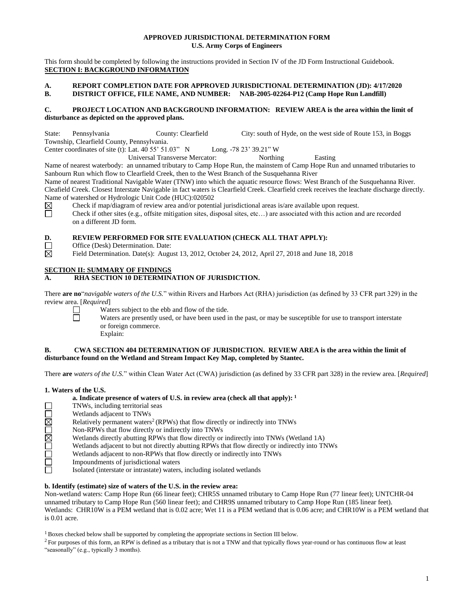# **APPROVED JURISDICTIONAL DETERMINATION FORM U.S. Army Corps of Engineers**

This form should be completed by following the instructions provided in Section IV of the JD Form Instructional Guidebook. **SECTION I: BACKGROUND INFORMATION**

# **A. REPORT COMPLETION DATE FOR APPROVED JURISDICTIONAL DETERMINATION (JD): 4/17/2020 B. DISTRICT OFFICE, FILE NAME, AND NUMBER: NAB-2005-02264-P12 (Camp Hope Run Landfill)**

# **C. PROJECT LOCATION AND BACKGROUND INFORMATION: REVIEW AREA is the area within the limit of disturbance as depicted on the approved plans.**

State: Pennsylvania County: Clearfield City: south of Hyde, on the west side of Route 153, in Boggs Township, Clearfield County, Pennsylvania. Center coordinates of site (t): Lat. 40 55' 51.03" N Long. -78 23' 39.21" W

Universal Transverse Mercator: Northing Easting

Name of nearest waterbody: an unnamed tributary to Camp Hope Run, the mainstem of Camp Hope Run and unnamed tributaries to Sanbourn Run which flow to Clearfield Creek, then to the West Branch of the Susquehanna River

Name of nearest Traditional Navigable Water (TNW) into which the aquatic resource flows: West Branch of the Susquehanna River. Cleafield Creek. Closest Interstate Navigable in fact waters is Clearfield Creek. Clearfield creek receives the leachate discharge directly. Name of watershed or Hydrologic Unit Code (HUC):020502

⊠ ō Check if map/diagram of review area and/or potential jurisdictional areas is/are available upon request.

Check if other sites (e.g., offsite mitigation sites, disposal sites, etc…) are associated with this action and are recorded on a different JD form.

# **D. REVIEW PERFORMED FOR SITE EVALUATION (CHECK ALL THAT APPLY):**<br>Office (Desk) Determination. Date:<br>Field Determination. Date(s): August 13, 2012, October 24, 2012, April 27, 2018 and June

Office (Desk) Determination. Date:

Field Determination. Date(s): August 13, 2012, October 24, 2012, April 27, 2018 and June 18, 2018

# **SECTION II: SUMMARY OF FINDINGS**

# **A. RHA SECTION 10 DETERMINATION OF JURISDICTION.**

There **are no**"*navigable waters of the U.S.*" within Rivers and Harbors Act (RHA) jurisdiction (as defined by 33 CFR part 329) in the review area. [*Required*]

 $\Box$ 亘 Waters subject to the ebb and flow of the tide.

Waters are presently used, or have been used in the past, or may be susceptible for use to transport interstate or foreign commerce. Explain:

# **B. CWA SECTION 404 DETERMINATION OF JURISDICTION. REVIEW AREA is the area within the limit of disturbance found on the Wetland and Stream Impact Key Map, completed by Stantec.**

There **are** *waters of the U.S.*" within Clean Water Act (CWA) jurisdiction (as defined by 33 CFR part 328) in the review area. [*Required*]

# **1. Waters of the U.S.**

|             | a. Indicate presence of waters of U.S. in review area (check all that apply): $1$              |
|-------------|------------------------------------------------------------------------------------------------|
|             | TNWs, including territorial seas                                                               |
|             | Wetlands adjacent to TNWs                                                                      |
| $\boxtimes$ | Relatively permanent waters <sup>2</sup> (RPWs) that flow directly or indirectly into TNWs     |
|             | Non-RPWs that flow directly or indirectly into TNWs                                            |
| $\boxtimes$ | Wetlands directly abutting RPWs that flow directly or indirectly into TNWs (Wetland 1A)        |
|             | Wetlands adjacent to but not directly abutting RPWs that flow directly or indirectly into TNWs |
|             | Wetlands adjacent to non-RPWs that flow directly or indirectly into TNWs                       |
|             | Impoundments of jurisdictional waters                                                          |
|             | Isolated (interstate or intrastate) waters, including isolated wetlands                        |

# **b. Identify (estimate) size of waters of the U.S. in the review area:**

Non-wetland waters: Camp Hope Run (66 linear feet); CHR5S unnamed tributary to Camp Hope Run (77 linear feet); UNTCHR-04 unnamed tributary to Camp Hope Run (560 linear feet); and CHR9S unnamed tributary to Camp Hope Run (185 linear feet). Wetlands: CHR10W is a PEM wetland that is 0.02 acre; Wet 11 is a PEM wetland that is 0.06 acre; and CHR10W is a PEM wetland that is 0.01 acre.

 $1$  Boxes checked below shall be supported by completing the appropriate sections in Section III below.

 ${}^{2}$  For purposes of this form, an RPW is defined as a tributary that is not a TNW and that typically flows year-round or has continuous flow at least "seasonally" (e.g., typically 3 months).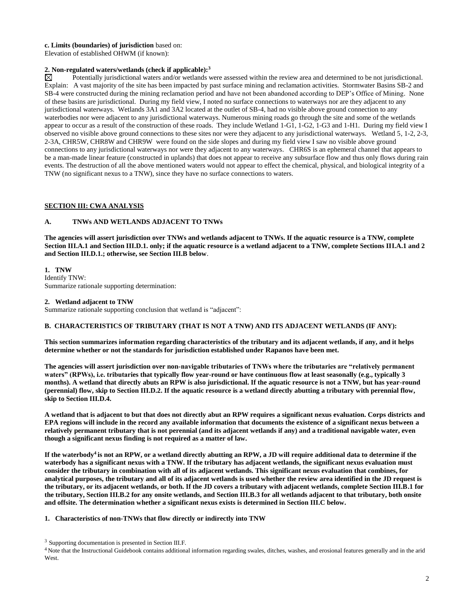#### **c. Limits (boundaries) of jurisdiction** based on:

Elevation of established OHWM (if known):

# **2. Non-regulated waters/wetlands (check if applicable):**<sup>3</sup> Potentially jurisdictional waters and/or wetlands w

Potentially jurisdictional waters and/or wetlands were assessed within the review area and determined to be not jurisdictional. Explain: A vast majority of the site has been impacted by past surface mining and reclamation activities. Stormwater Basins SB-2 and SB-4 were constructed during the mining reclamation period and have not been abandoned according to DEP's Office of Mining. None of these basins are jurisdictional. During my field view, I noted no surface connections to waterways nor are they adjacent to any jurisdictional waterways. Wetlands 3A1 and 3A2 located at the outlet of SB-4, had no visible above ground connection to any waterbodies nor were adjacent to any jurisdictional waterways. Numerous mining roads go through the site and some of the wetlands appear to occur as a result of the construction of these roads. They include Wetland 1-G1, 1-G2, 1-G3 and 1-H1. During my field view I observed no visible above ground connections to these sites nor were they adjacent to any jurisdictional waterways. Wetland 5, 1-2, 2-3, 2-3A, CHR5W, CHR8W and CHR9W were found on the side slopes and during my field view I saw no visible above ground connections to any jurisdictional waterways nor were they adjacent to any waterways. CHR6S is an ephemeral channel that appears to be a man-made linear feature (constructed in uplands) that does not appear to receive any subsurface flow and thus only flows during rain events. The destruction of all the above mentioned waters would not appear to effect the chemical, physical, and biological integrity of a TNW (no significant nexus to a TNW), since they have no surface connections to waters.

# **SECTION III: CWA ANALYSIS**

# **A. TNWs AND WETLANDS ADJACENT TO TNWs**

**The agencies will assert jurisdiction over TNWs and wetlands adjacent to TNWs. If the aquatic resource is a TNW, complete Section III.A.1 and Section III.D.1. only; if the aquatic resource is a wetland adjacent to a TNW, complete Sections III.A.1 and 2 and Section III.D.1.; otherwise, see Section III.B below**.

**1. TNW** Identify TNW: Summarize rationale supporting determination:

#### **2. Wetland adjacent to TNW**

Summarize rationale supporting conclusion that wetland is "adjacent":

#### **B. CHARACTERISTICS OF TRIBUTARY (THAT IS NOT A TNW) AND ITS ADJACENT WETLANDS (IF ANY):**

**This section summarizes information regarding characteristics of the tributary and its adjacent wetlands, if any, and it helps determine whether or not the standards for jurisdiction established under Rapanos have been met.**

**The agencies will assert jurisdiction over non-navigable tributaries of TNWs where the tributaries are "relatively permanent waters" (RPWs), i.e. tributaries that typically flow year-round or have continuous flow at least seasonally (e.g., typically 3 months). A wetland that directly abuts an RPW is also jurisdictional. If the aquatic resource is not a TNW, but has year-round (perennial) flow, skip to Section III.D.2. If the aquatic resource is a wetland directly abutting a tributary with perennial flow, skip to Section III.D.4.**

**A wetland that is adjacent to but that does not directly abut an RPW requires a significant nexus evaluation. Corps districts and EPA regions will include in the record any available information that documents the existence of a significant nexus between a relatively permanent tributary that is not perennial (and its adjacent wetlands if any) and a traditional navigable water, even though a significant nexus finding is not required as a matter of law.**

**If the waterbody<sup>4</sup> is not an RPW, or a wetland directly abutting an RPW, a JD will require additional data to determine if the waterbody has a significant nexus with a TNW. If the tributary has adjacent wetlands, the significant nexus evaluation must consider the tributary in combination with all of its adjacent wetlands. This significant nexus evaluation that combines, for analytical purposes, the tributary and all of its adjacent wetlands is used whether the review area identified in the JD request is the tributary, or its adjacent wetlands, or both. If the JD covers a tributary with adjacent wetlands, complete Section III.B.1 for the tributary, Section III.B.2 for any onsite wetlands, and Section III.B.3 for all wetlands adjacent to that tributary, both onsite and offsite. The determination whether a significant nexus exists is determined in Section III.C below.**

#### **1. Characteristics of non-TNWs that flow directly or indirectly into TNW**

<sup>4</sup> Note that the Instructional Guidebook contains additional information regarding swales, ditches, washes, and erosional features generally and in the arid West.

<sup>&</sup>lt;sup>3</sup> Supporting documentation is presented in Section III.F.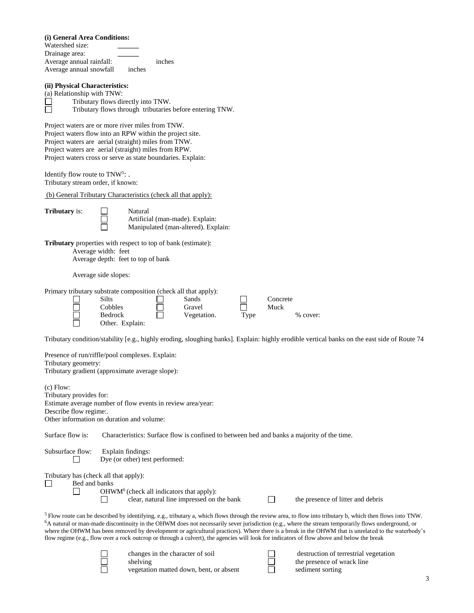| (i) General Area Conditions: |  |  |  |  |
|------------------------------|--|--|--|--|
|------------------------------|--|--|--|--|

Watershed size: **\_\_\_\_\_\_** Drainage area: **\_\_\_\_\_\_** Average annual rainfall: inches Average annual snowfall inches

# **(ii) Physical Characteristics:**

(a) Relationship with TNW:<br>  $\Box$ Tributary flows din<br>
Tributary flows the Tributary flows directly into TNW. Tributary flows through tributaries before entering TNW.

Project waters are or more river miles from TNW. Project waters flow into an RPW within the project site. Project waters are aerial (straight) miles from TNW. Project waters are aerial (straight) miles from RPW. Project waters cross or serve as state boundaries. Explain:

Identify flow route to  $TNW^5$ : . Tributary stream order, if known:

(b) General Tributary Characteristics (check all that apply):

| <b>Tributary</b> is |  |
|---------------------|--|
|                     |  |
|                     |  |

Tributary **II**<br>
Tributary *S*<br>
Tributary *Nanipu* Artificial (man-made). Explain: Manipulated (man-altered). Explain:

**Tributary** properties with respect to top of bank (estimate): Average width: feet Average depth: feet to top of bank

Average side slopes:

| Primary tributary substrate composition (check all that apply): |             |      |            |
|-----------------------------------------------------------------|-------------|------|------------|
| Silts                                                           | Sands       |      | Concrete   |
| Cobbles                                                         | Gravel      |      | Muck       |
| <b>Bedrock</b>                                                  | Vegetation. | Tvpe | $%$ cover: |
| Other. Explain:                                                 |             |      |            |

Tributary condition/stability [e.g., highly eroding, sloughing banks]. Explain: highly erodible vertical banks on the east side of Route 74

| Tributary geometry:                                              | Presence of run/riffle/pool complexes. Explain:                                                                                                                                                                                                                                                                                                                                                             |
|------------------------------------------------------------------|-------------------------------------------------------------------------------------------------------------------------------------------------------------------------------------------------------------------------------------------------------------------------------------------------------------------------------------------------------------------------------------------------------------|
|                                                                  | Tributary gradient (approximate average slope):                                                                                                                                                                                                                                                                                                                                                             |
| $(c)$ Flow:                                                      |                                                                                                                                                                                                                                                                                                                                                                                                             |
| Tributary provides for:                                          |                                                                                                                                                                                                                                                                                                                                                                                                             |
|                                                                  | Estimate average number of flow events in review area/year:                                                                                                                                                                                                                                                                                                                                                 |
| Describe flow regime:.                                           |                                                                                                                                                                                                                                                                                                                                                                                                             |
|                                                                  | Other information on duration and volume:                                                                                                                                                                                                                                                                                                                                                                   |
| Surface flow is:                                                 | Characteristics: Surface flow is confined to between bed and banks a majority of the time.                                                                                                                                                                                                                                                                                                                  |
| Subsurface flow:                                                 | Explain findings:<br>Dye (or other) test performed:                                                                                                                                                                                                                                                                                                                                                         |
| Tributary has (check all that apply):<br>$\Box$<br>Bed and banks | $OHWM6$ (check all indicators that apply):                                                                                                                                                                                                                                                                                                                                                                  |
|                                                                  | clear, natural line impressed on the bank<br>the presence of litter and debris<br>$5$ Flow route can be described by identifying, e.g., tributary a, which flows through the review area, to flow into tributary b, which then flows into TNW.<br>${}^{6}A$ natural or man-made discontinuity in the OHWM does not necessarily sever jurisdiction (e.g., where the stream temporarily flows underground, or |
|                                                                  | where the OHWM has been removed by development or agricultural practices). Where there is a break in the OHWM that is unrelated to the waterbody's<br>flow regime (e.g., flow over a rock outcrop or through a culvert), the agencies will look for indicators of flow above and below the break                                                                                                            |
|                                                                  | changes in the character of soil<br>destruction of terrestrial vegetation<br>the presence of wrack line<br>shelving<br>vegetation matted down, bent, or absent<br>sediment sorting                                                                                                                                                                                                                          |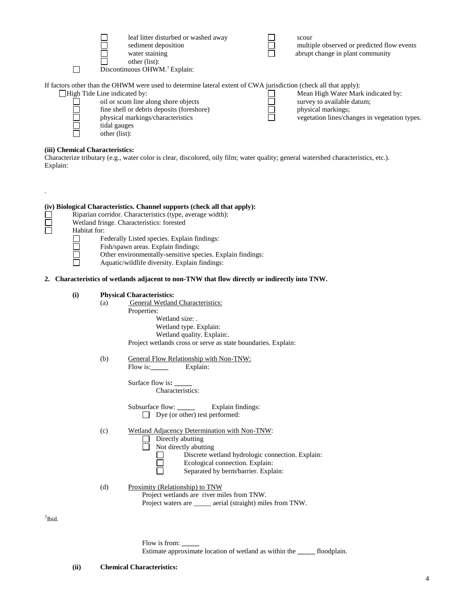| leaf litter disturbed or washed away<br>sediment deposition<br>water staining<br>other (list):<br>Discontinuous OHWM. <sup>7</sup> Explain: | scour<br>multiple observed or predicted flow events<br>abrupt change in plant community |
|---------------------------------------------------------------------------------------------------------------------------------------------|-----------------------------------------------------------------------------------------|
| If factors other than the OHWM were used to determine lateral extent of CWA jurisdiction (check all that apply):                            |                                                                                         |
| High Tide Line indicated by:                                                                                                                | Mean High Water Mark indicated by:                                                      |
| oil or scum line along shore objects                                                                                                        | survey to available datum;                                                              |
| fine shell or debris deposits (foreshore)                                                                                                   | physical markings;                                                                      |
| physical markings/characteristics                                                                                                           | vegetation lines/changes in vegetation types.                                           |
| tidal gauges                                                                                                                                |                                                                                         |
| other (list):                                                                                                                               |                                                                                         |

# **(iii) Chemical Characteristics:**

Characterize tributary (e.g., water color is clear, discolored, oily film; water quality; general watershed characteristics, etc.). Explain:

|           |     | (iv) Biological Characteristics. Channel supports (check all that apply):<br>Riparian corridor. Characteristics (type, average width):<br>Wetland fringe. Characteristics: forested<br>Habitat for:<br>Federally Listed species. Explain findings:<br>Fish/spawn areas. Explain findings:<br>Other environmentally-sensitive species. Explain findings:<br>Aquatic/wildlife diversity. Explain findings: |                                                                                                                                                                                                                                                                                                                                                      |  |  |
|-----------|-----|----------------------------------------------------------------------------------------------------------------------------------------------------------------------------------------------------------------------------------------------------------------------------------------------------------------------------------------------------------------------------------------------------------|------------------------------------------------------------------------------------------------------------------------------------------------------------------------------------------------------------------------------------------------------------------------------------------------------------------------------------------------------|--|--|
|           |     |                                                                                                                                                                                                                                                                                                                                                                                                          | 2. Characteristics of wetlands adjacent to non-TNW that flow directly or indirectly into TNW.                                                                                                                                                                                                                                                        |  |  |
|           | (i) | (a)<br>(b)                                                                                                                                                                                                                                                                                                                                                                                               | <b>Physical Characteristics:</b><br><b>General Wetland Characteristics:</b><br>Properties:<br>Wetland size: .<br>Wetland type. Explain:<br>Wetland quality. Explain:.<br>Project wetlands cross or serve as state boundaries. Explain:<br>General Flow Relationship with Non-TNW:<br>Flow is: Explain:<br>Surface flow is: _____<br>Characteristics: |  |  |
|           |     | (c)                                                                                                                                                                                                                                                                                                                                                                                                      | $\Box$ Dye (or other) test performed:<br>Wetland Adjacency Determination with Non-TNW:<br>Directly abutting<br>$\Box$ Not directly abutting<br>Discrete wetland hydrologic connection. Explain:<br>Ecological connection. Explain:<br>Separated by berm/barrier. Explain:                                                                            |  |  |
|           |     | (d)                                                                                                                                                                                                                                                                                                                                                                                                      | Proximity (Relationship) to TNW<br>Project wetlands are river miles from TNW.<br>Project waters are _____ aerial (straight) miles from TNW.                                                                                                                                                                                                          |  |  |
| $7$ Ibid. |     |                                                                                                                                                                                                                                                                                                                                                                                                          |                                                                                                                                                                                                                                                                                                                                                      |  |  |

Flow is from: **\_\_\_\_\_** Estimate approximate location of wetland as within the **\_\_\_\_\_** floodplain.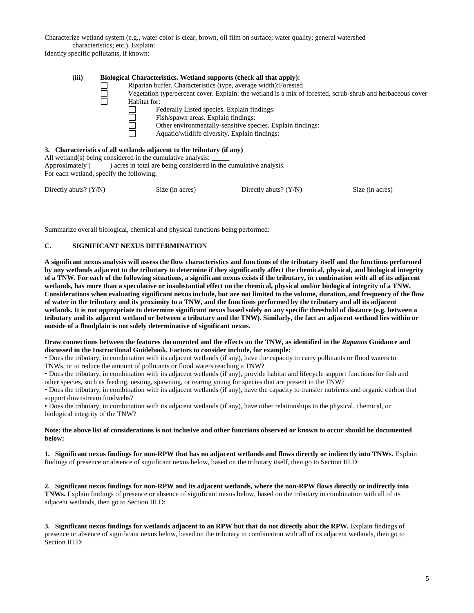Characterize wetland system (e.g., water color is clear, brown, oil film on surface; water quality; general watershed characteristics; etc.). Explain:

Identify specific pollutants, if known:

| (iii) |  | Biological Characteristics. Wetland supports (check all that apply):<br>Riparian buffer. Characteristics (type, average width): Forested                                                                                                                                                                                                                                                                                                                                                         |
|-------|--|--------------------------------------------------------------------------------------------------------------------------------------------------------------------------------------------------------------------------------------------------------------------------------------------------------------------------------------------------------------------------------------------------------------------------------------------------------------------------------------------------|
|       |  | Vegetation type/percent cover. Explain: the wetland is a mix of forested, scrub-shrub and herbaceous cover                                                                                                                                                                                                                                                                                                                                                                                       |
|       |  | Habitat for:                                                                                                                                                                                                                                                                                                                                                                                                                                                                                     |
|       |  | Federally Listed species. Explain findings:                                                                                                                                                                                                                                                                                                                                                                                                                                                      |
|       |  | Fish/spawn areas. Explain findings:                                                                                                                                                                                                                                                                                                                                                                                                                                                              |
|       |  | Other environmentally-sensitive species. Explain findings:                                                                                                                                                                                                                                                                                                                                                                                                                                       |
|       |  | Aquatic/wildlife diversity. Explain findings:                                                                                                                                                                                                                                                                                                                                                                                                                                                    |
|       |  |                                                                                                                                                                                                                                                                                                                                                                                                                                                                                                  |
|       |  | 3. Characteristics of all wetlands adjacent to the tributary (if any)<br>$\mathbf{A} \mathbf{H} = \mathbf{A} \mathbf{I} + \mathbf{A} \mathbf{A} + \mathbf{A} \mathbf{I} + \mathbf{A} \mathbf{I} + \mathbf{A} \mathbf{I} + \mathbf{A} \mathbf{I} + \mathbf{A} \mathbf{I} + \mathbf{A} \mathbf{I} + \mathbf{A} \mathbf{I} + \mathbf{A} \mathbf{I} + \mathbf{A} \mathbf{I} + \mathbf{A} \mathbf{I} + \mathbf{A} \mathbf{I} + \mathbf{A} \mathbf{I} + \mathbf{A} \mathbf{I} + \mathbf{A} \mathbf{I}$ |

All wetland(s) being considered in the cumulative analysis: Approximately () acres in total are being considered in the cumulative analysis. For each wetland, specify the following:

| Directly abuts? (Y/N) | Size (in acres) | Directly abuts? $(Y/N)$ | Size (in acres) |
|-----------------------|-----------------|-------------------------|-----------------|
|-----------------------|-----------------|-------------------------|-----------------|

Summarize overall biological, chemical and physical functions being performed:

# **C. SIGNIFICANT NEXUS DETERMINATION**

**A significant nexus analysis will assess the flow characteristics and functions of the tributary itself and the functions performed by any wetlands adjacent to the tributary to determine if they significantly affect the chemical, physical, and biological integrity of a TNW. For each of the following situations, a significant nexus exists if the tributary, in combination with all of its adjacent wetlands, has more than a speculative or insubstantial effect on the chemical, physical and/or biological integrity of a TNW. Considerations when evaluating significant nexus include, but are not limited to the volume, duration, and frequency of the flow of water in the tributary and its proximity to a TNW, and the functions performed by the tributary and all its adjacent wetlands. It is not appropriate to determine significant nexus based solely on any specific threshold of distance (e.g. between a tributary and its adjacent wetland or between a tributary and the TNW). Similarly, the fact an adjacent wetland lies within or outside of a floodplain is not solely determinative of significant nexus.**

# **Draw connections between the features documented and the effects on the TNW, as identified in the** *Rapanos* **Guidance and discussed in the Instructional Guidebook. Factors to consider include, for example:**

• Does the tributary, in combination with its adjacent wetlands (if any), have the capacity to carry pollutants or flood waters to TNWs, or to reduce the amount of pollutants or flood waters reaching a TNW?

• Does the tributary, in combination with its adjacent wetlands (if any), provide habitat and lifecycle support functions for fish and other species, such as feeding, nesting, spawning, or rearing young for species that are present in the TNW?

• Does the tributary, in combination with its adjacent wetlands (if any), have the capacity to transfer nutrients and organic carbon that support downstream foodwebs?

• Does the tributary, in combination with its adjacent wetlands (if any), have other relationships to the physical, chemical, or biological integrity of the TNW?

# **Note: the above list of considerations is not inclusive and other functions observed or known to occur should be documented below:**

**1. Significant nexus findings for non-RPW that has no adjacent wetlands and flows directly or indirectly into TNWs.** Explain findings of presence or absence of significant nexus below, based on the tributary itself, then go to Section III.D:

**2. Significant nexus findings for non-RPW and its adjacent wetlands, where the non-RPW flows directly or indirectly into TNWs.** Explain findings of presence or absence of significant nexus below, based on the tributary in combination with all of its adjacent wetlands, then go to Section III.D:

**3. Significant nexus findings for wetlands adjacent to an RPW but that do not directly abut the RPW.** Explain findings of presence or absence of significant nexus below, based on the tributary in combination with all of its adjacent wetlands, then go to Section III.D: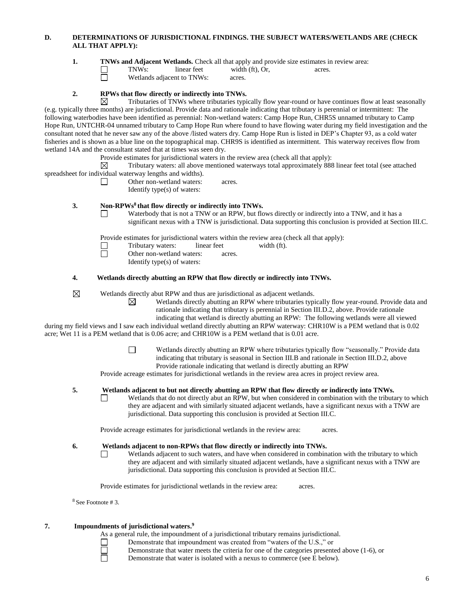# **D. DETERMINATIONS OF JURISDICTIONAL FINDINGS. THE SUBJECT WATERS/WETLANDS ARE (CHECK ALL THAT APPLY):**

**1. TNWs and Adjacent Wetlands.** Check all that apply and provide size estimates in review area:

TNWs: linear feet width (ft), Or, acres.

Wetlands adjacent to TNWs: acres.

# **2. RPWs that flow directly or indirectly into TNWs.**

Ħ

 $\Box$ 

 $\Box$ 

⊠ Tributaries of TNWs where tributaries typically flow year-round or have continues flow at least seasonally (e.g. typically three months) are jurisdictional. Provide data and rationale indicating that tributary is perennial or intermittent: The following waterbodies have been identified as perennial: Non-wetland waters: Camp Hope Run, CHR5S unnamed tributary to Camp Hope Run, UNTCHR-04 unnamed tributary to Camp Hope Run where found to have flowing water during my field investigation and the consultant noted that he never saw any of the above /listed waters dry. Camp Hope Run is listed in DEP's Chapter 93, as a cold water fisheries and is shown as a blue line on the topographical map. CHR9S is identified as intermittent. This waterway receives flow from wetland 14A and the consultant stated that at times was seen dry.

Provide estimates for jurisdictional waters in the review area (check all that apply):

 $\boxtimes$ Tributary waters: all above mentioned waterways total approximately 888 linear feet total (see attached spreadsheet for individual waterway lengths and widths).

> Other non-wetland waters: acres. Identify type(s) of waters:

#### **3. Non-RPWs<sup>8</sup> that flow directly or indirectly into TNWs.**

Waterbody that is not a TNW or an RPW, but flows directly or indirectly into a TNW, and it has a significant nexus with a TNW is jurisdictional. Data supporting this conclusion is provided at Section III.C.

Provide estimates for jurisdictional waters within the review area (check all that apply):

- $\Box$ Tributary waters: linear feet width (ft).
	- Other non-wetland waters: acres.
		- Identify type(s) of waters:

⊠

 $\Box$ 

# **4. Wetlands directly abutting an RPW that flow directly or indirectly into TNWs.**

 $\boxtimes$ Wetlands directly abut RPW and thus are jurisdictional as adjacent wetlands.

Wetlands directly abutting an RPW where tributaries typically flow year-round. Provide data and rationale indicating that tributary is perennial in Section III.D.2, above. Provide rationale

indicating that wetland is directly abutting an RPW: The following wetlands were all viewed during my field views and I saw each individual wetland directly abutting an RPW waterway: CHR10W is a PEM wetland that is 0.02

acre; Wet 11 is a PEM wetland that is 0.06 acre; and CHR10W is a PEM wetland that is 0.01 acre.

Wetlands directly abutting an RPW where tributaries typically flow "seasonally." Provide data indicating that tributary is seasonal in Section III.B and rationale in Section III.D.2, above Provide rationale indicating that wetland is directly abutting an RPW

Provide acreage estimates for jurisdictional wetlands in the review area acres in project review area.

# **5. Wetlands adjacent to but not directly abutting an RPW that flow directly or indirectly into TNWs.**

Wetlands that do not directly abut an RPW, but when considered in combination with the tributary to which they are adjacent and with similarly situated adjacent wetlands, have a significant nexus with a TNW are jurisdictional. Data supporting this conclusion is provided at Section III.C.

Provide acreage estimates for jurisdictional wetlands in the review area: acres.

**6. Wetlands adjacent to non-RPWs that flow directly or indirectly into TNWs.**

 $\Box$ Wetlands adjacent to such waters, and have when considered in combination with the tributary to which they are adjacent and with similarly situated adjacent wetlands, have a significant nexus with a TNW are jurisdictional. Data supporting this conclusion is provided at Section III.C.

Provide estimates for jurisdictional wetlands in the review area: acres.

<sup>8</sup> See Footnote # 3.

П

#### **7. Impoundments of jurisdictional waters. 9**

As a general rule, the impoundment of a jurisdictional tributary remains jurisdictional.<br>
Demonstrate that impoundment was created from "waters of the U.S.," or

Demonstrate that impoundment was created from "waters of the U.S.," or

Demonstrate that water meets the criteria for one of the categories presented above (1-6), or

ō

Demonstrate that water is isolated with a nexus to commerce (see E below).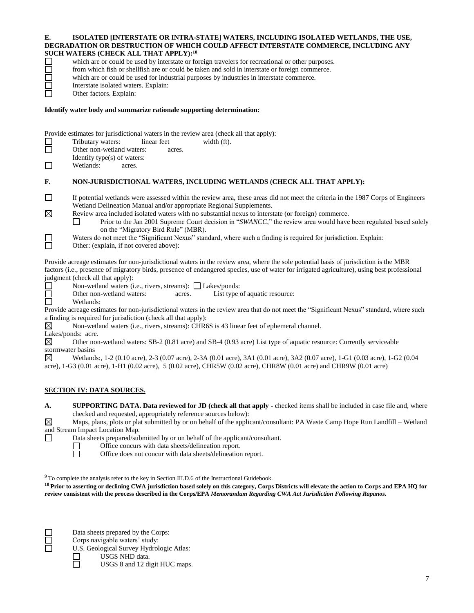### **E. ISOLATED [INTERSTATE OR INTRA-STATE] WATERS, INCLUDING ISOLATED WETLANDS, THE USE, DEGRADATION OR DESTRUCTION OF WHICH COULD AFFECT INTERSTATE COMMERCE, INCLUDING ANY SUCH WATERS (CHECK ALL THAT APPLY):<sup>10</sup>**

- from which fish or shellfish are or could be taken and sold in interstate or foreign commerce. which are or could be used for industrial purposes by industries in interstate commerce.
- Interstate isolated waters. Explain:
- Other factors. Explain:

# **Identify water body and summarize rationale supporting determination:**

Provide estimates for jurisdictional waters in the review area (check all that apply):<br>
Tributary waters: linear feet width (ft).<br>
Other non-wetland waters: acres.

- Tributary waters: linear feet width (ft).
- Other non-wetland waters: acres.
- Identify type(s) of waters:
- $\Box$ Wetlands: acres.

# **F. NON-JURISDICTIONAL WATERS, INCLUDING WETLANDS (CHECK ALL THAT APPLY):**

which are or could be used by interstate or foreign travelers for recreational or other purposes.

- $\Box$ If potential wetlands were assessed within the review area, these areas did not meet the criteria in the 1987 Corps of Engineers Wetland Delineation Manual and/or appropriate Regional Supplements.  $\boxtimes$ 
	- Review area included isolated waters with no substantial nexus to interstate (or foreign) commerce.
		- Prior to the Jan 2001 Supreme Court decision in "*SWANCC*," the review area would have been regulated based solely  $\Box$ on the "Migratory Bird Rule" (MBR).
	- Waters do not meet the "Significant Nexus" standard, where such a finding is required for jurisdiction. Explain:
- $\Box$ Other: (explain, if not covered above):

Provide acreage estimates for non-jurisdictional waters in the review area, where the sole potential basis of jurisdiction is the MBR factors (i.e., presence of migratory birds, presence of endangered species, use of water for irrigated agriculture), using best professional judgment (check all that apply):

- Non-wetland waters (i.e., rivers, streams):  $\Box$  Lakes/ponds: П
- 靣 Other non-wetland waters: acres. List type of aquatic resource:
- ō Wetlands:

Provide acreage estimates for non-jurisdictional waters in the review area that do not meet the "Significant Nexus" standard, where such a finding is required for jurisdiction (check all that apply):

- Non-wetland waters (i.e., rivers, streams): CHR6S is 43 linear feet of ephemeral channel. ⊠
- Lakes/ponds: acre.

 $\boxtimes$ Other non-wetland waters: SB-2 (0.81 acre) and SB-4 (0.93 acre) List type of aquatic resource: Currently serviceable stormwater basins

⊠ Wetlands:, 1-2 (0.10 acre), 2-3 (0.07 acre), 2-3A (0.01 acre), 3A1 (0.01 acre), 3A2 (0.07 acre), 1-G1 (0.03 acre), 1-G2 (0.04 acre), 1-G3 (0.01 acre), 1-H1 (0.02 acre), 5 (0.02 acre), CHR5W (0.02 acre), CHR8W (0.01 acre) and CHR9W (0.01 acre)

# **SECTION IV: DATA SOURCES.**

| <b>SUPPORTING DATA. Data reviewed for JD (check all that apply -</b> checked items shall be included in case file and, where |
|------------------------------------------------------------------------------------------------------------------------------|
| checked and requested, appropriately reference sources below):                                                               |

Maps, plans, plots or plat submitted by or on behalf of the applicant/consultant: PA Waste Camp Hope Run Landfill – Wetland  $\boxtimes$ and Stream Impact Location Map.<br>Data sheets prepared/sub

- Data sheets prepared/submitted by or on behalf of the applicant/consultant.<br>
Office concurs with data sheets/delineation report.<br>
Office does not concur with data sheets/delineation report.
- 
- Office concurs with data sheets/delineation report.
- Office does not concur with data sheets/delineation report.

<sup>9</sup> To complete the analysis refer to the key in Section III.D.6 of the Instructional Guidebook.

**<sup>10</sup>Prior to asserting or declining CWA jurisdiction based solely on this category, Corps Districts will elevate the action to Corps and EPA HQ for review consistent with the process described in the Corps/EPA** *Memorandum Regarding CWA Act Jurisdiction Following Rapanos.*



Data sheets prepared by the Corps:

Corps navigable waters' study:

U.S. Geological Survey Hydrologic Atlas:<br>
USGS NHD data.<br>
USGS 8 and 12 digit HUC maps USGS NHD data. USGS 8 and 12 digit HUC maps.